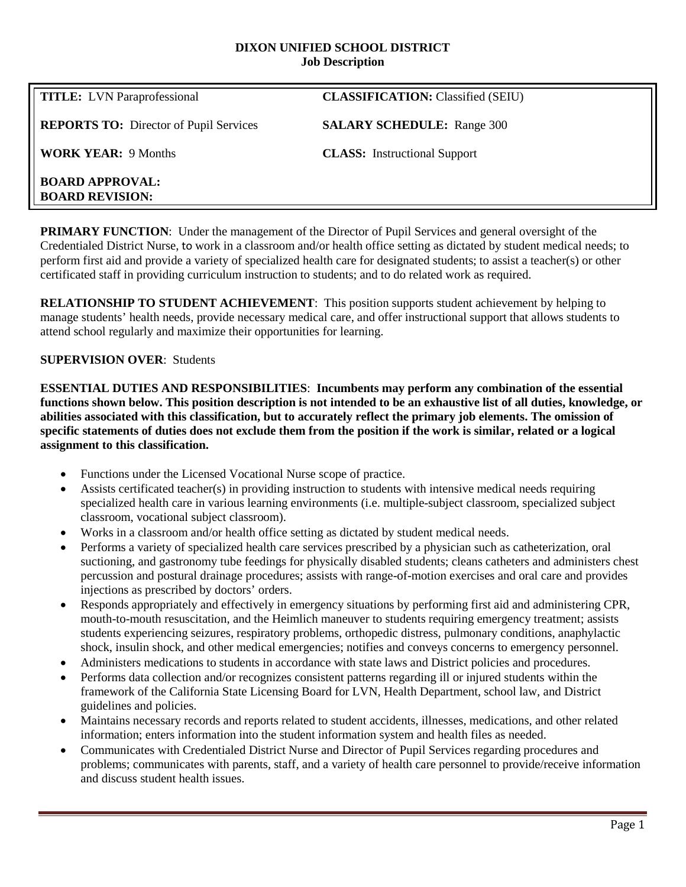#### **DIXON UNIFIED SCHOOL DISTRICT Job Description**

| <b>TITLE:</b> LVN Paraprofessional               | <b>CLASSIFICATION:</b> Classified (SEIU) |
|--------------------------------------------------|------------------------------------------|
| <b>REPORTS TO:</b> Director of Pupil Services    | <b>SALARY SCHEDULE:</b> Range 300        |
| <b>WORK YEAR: 9 Months</b>                       | <b>CLASS:</b> Instructional Support      |
| <b>BOARD APPROVAL:</b><br><b>BOARD REVISION:</b> |                                          |

**PRIMARY FUNCTION**: Under the management of the Director of Pupil Services and general oversight of the Credentialed District Nurse, to work in a classroom and/or health office setting as dictated by student medical needs; to perform first aid and provide a variety of specialized health care for designated students; to assist a teacher(s) or other certificated staff in providing curriculum instruction to students; and to do related work as required.

**RELATIONSHIP TO STUDENT ACHIEVEMENT**: This position supports student achievement by helping to manage students' health needs, provide necessary medical care, and offer instructional support that allows students to attend school regularly and maximize their opportunities for learning.

### **SUPERVISION OVER**: Students

**ESSENTIAL DUTIES AND RESPONSIBILITIES**: **Incumbents may perform any combination of the essential functions shown below. This position description is not intended to be an exhaustive list of all duties, knowledge, or abilities associated with this classification, but to accurately reflect the primary job elements. The omission of specific statements of duties does not exclude them from the position if the work is similar, related or a logical assignment to this classification.**

- Functions under the Licensed Vocational Nurse scope of practice.
- Assists certificated teacher(s) in providing instruction to students with intensive medical needs requiring specialized health care in various learning environments (i.e. multiple-subject classroom, specialized subject classroom, vocational subject classroom).
- Works in a classroom and/or health office setting as dictated by student medical needs.
- Performs a variety of specialized health care services prescribed by a physician such as catheterization, oral suctioning, and gastronomy tube feedings for physically disabled students; cleans catheters and administers chest percussion and postural drainage procedures; assists with range-of-motion exercises and oral care and provides injections as prescribed by doctors' orders.
- Responds appropriately and effectively in emergency situations by performing first aid and administering CPR, mouth-to-mouth resuscitation, and the Heimlich maneuver to students requiring emergency treatment; assists students experiencing seizures, respiratory problems, orthopedic distress, pulmonary conditions, anaphylactic shock, insulin shock, and other medical emergencies; notifies and conveys concerns to emergency personnel.
- Administers medications to students in accordance with state laws and District policies and procedures.
- Performs data collection and/or recognizes consistent patterns regarding ill or injured students within the framework of the California State Licensing Board for LVN, Health Department, school law, and District guidelines and policies.
- Maintains necessary records and reports related to student accidents, illnesses, medications, and other related information; enters information into the student information system and health files as needed.
- Communicates with Credentialed District Nurse and Director of Pupil Services regarding procedures and problems; communicates with parents, staff, and a variety of health care personnel to provide/receive information and discuss student health issues.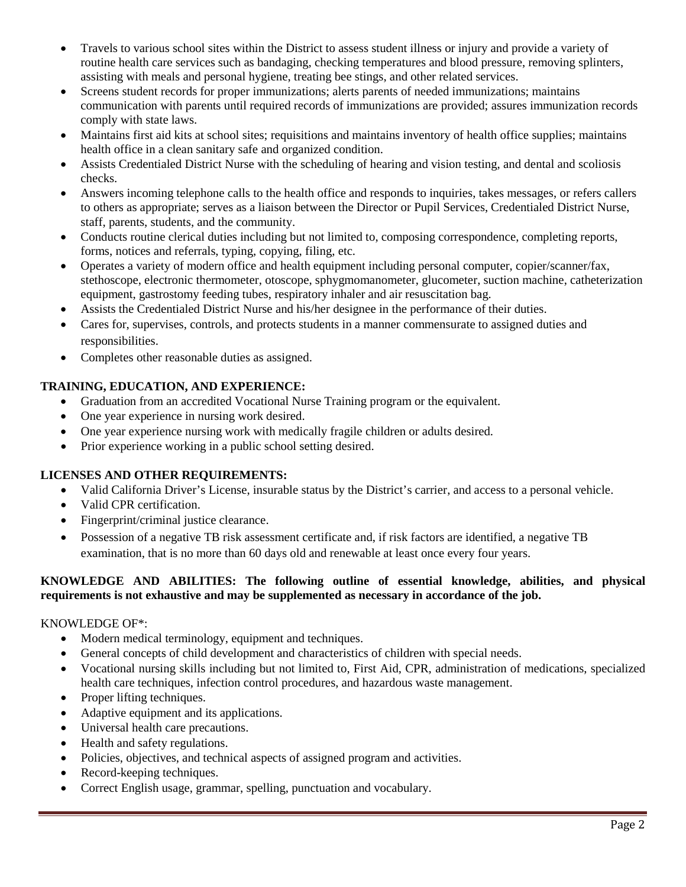- Travels to various school sites within the District to assess student illness or injury and provide a variety of routine health care services such as bandaging, checking temperatures and blood pressure, removing splinters, assisting with meals and personal hygiene, treating bee stings, and other related services.
- Screens student records for proper immunizations; alerts parents of needed immunizations; maintains communication with parents until required records of immunizations are provided; assures immunization records comply with state laws.
- Maintains first aid kits at school sites; requisitions and maintains inventory of health office supplies; maintains health office in a clean sanitary safe and organized condition.
- Assists Credentialed District Nurse with the scheduling of hearing and vision testing, and dental and scoliosis checks.
- Answers incoming telephone calls to the health office and responds to inquiries, takes messages, or refers callers to others as appropriate; serves as a liaison between the Director or Pupil Services, Credentialed District Nurse, staff, parents, students, and the community.
- Conducts routine clerical duties including but not limited to, composing correspondence, completing reports, forms, notices and referrals, typing, copying, filing, etc.
- Operates a variety of modern office and health equipment including personal computer, copier/scanner/fax, stethoscope, electronic thermometer, otoscope, sphygmomanometer, glucometer, suction machine, catheterization equipment, gastrostomy feeding tubes, respiratory inhaler and air resuscitation bag.
- Assists the Credentialed District Nurse and his/her designee in the performance of their duties.
- Cares for, supervises, controls, and protects students in a manner commensurate to assigned duties and responsibilities.
- Completes other reasonable duties as assigned.

# **TRAINING, EDUCATION, AND EXPERIENCE:**

- Graduation from an accredited Vocational Nurse Training program or the equivalent.
- One year experience in nursing work desired.
- One year experience nursing work with medically fragile children or adults desired.
- Prior experience working in a public school setting desired.

# **LICENSES AND OTHER REQUIREMENTS:**

- Valid California Driver's License, insurable status by the District's carrier, and access to a personal vehicle.
- Valid CPR certification.
- Fingerprint/criminal justice clearance.
- Possession of a negative TB risk assessment certificate and, if risk factors are identified, a negative TB examination, that is no more than 60 days old and renewable at least once every four years.

# **KNOWLEDGE AND ABILITIES: The following outline of essential knowledge, abilities, and physical requirements is not exhaustive and may be supplemented as necessary in accordance of the job.**

# KNOWLEDGE OF\*:

- Modern medical terminology, equipment and techniques.
- General concepts of child development and characteristics of children with special needs.
- Vocational nursing skills including but not limited to, First Aid, CPR, administration of medications, specialized health care techniques, infection control procedures, and hazardous waste management.
- Proper lifting techniques.
- Adaptive equipment and its applications.
- Universal health care precautions.
- Health and safety regulations.
- Policies, objectives, and technical aspects of assigned program and activities.
- Record-keeping techniques.
- Correct English usage, grammar, spelling, punctuation and vocabulary.